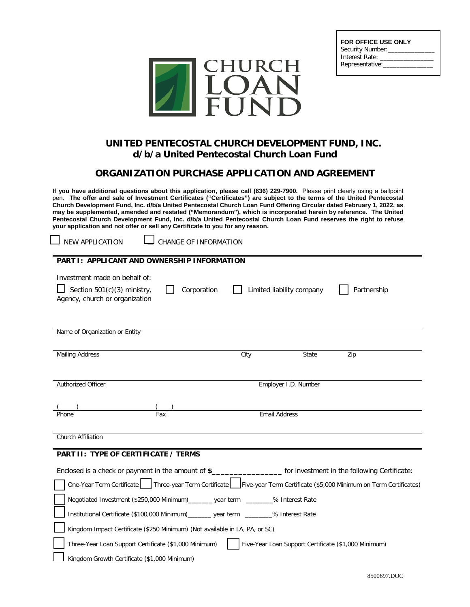

| <b>FOR OFFICE USE ONLY</b> |
|----------------------------|
| Security Number:           |
| Interest Rate:             |
| Representative:            |
|                            |

## **UNITED PENTECOSTAL CHURCH DEVELOPMENT FUND, INC. d/b/a United Pentecostal Church Loan Fund**

## **ORGANIZATION PURCHASE APPLICATION AND AGREEMENT**

**If you have additional questions about this application, please call (636) 229-7900.** Please print clearly using a ballpoint pen. **The offer and sale of Investment Certificates ("Certificates") are subject to the terms of the United Pentecostal Church Development Fund, Inc. d/b/a United Pentecostal Church Loan Fund Offering Circular dated February 1, 2022, as may be supplemented, amended and restated ("Memorandum"), which is incorporated herein by reference. The United Pentecostal Church Development Fund, Inc. d/b/a United Pentecostal Church Loan Fund reserves the right to refuse your application and not offer or sell any Certificate to you for any reason.**

| J NEW APPLICATI |  |
|-----------------|--|
|                 |  |

ON **LU** CHANGE OF INFORMATION

| <b>PART I: APPLICANT AND OWNERSHIP INFORMATION</b>                                                                                                                                                                                                                                                                                                                                   |                                                      |             |
|--------------------------------------------------------------------------------------------------------------------------------------------------------------------------------------------------------------------------------------------------------------------------------------------------------------------------------------------------------------------------------------|------------------------------------------------------|-------------|
| Investment made on behalf of:<br>Section 501(c)(3) ministry,<br>Corporation<br>Agency, church or organization                                                                                                                                                                                                                                                                        | Limited liability company                            | Partnership |
| Name of Organization or Entity                                                                                                                                                                                                                                                                                                                                                       |                                                      |             |
| <b>Mailing Address</b>                                                                                                                                                                                                                                                                                                                                                               | City<br>State                                        | Zip         |
|                                                                                                                                                                                                                                                                                                                                                                                      |                                                      |             |
| Authorized Officer                                                                                                                                                                                                                                                                                                                                                                   | Employer I.D. Number                                 |             |
|                                                                                                                                                                                                                                                                                                                                                                                      |                                                      |             |
| Fax<br>Phone                                                                                                                                                                                                                                                                                                                                                                         | Email Address                                        |             |
| <b>Church Affiliation</b><br>PART II: TYPE OF CERTIFICATE / TERMS                                                                                                                                                                                                                                                                                                                    |                                                      |             |
| Enclosed is a check or payment in the amount of \$____________________ for investment in the following Certificate:                                                                                                                                                                                                                                                                  |                                                      |             |
| One-Year Term Certificate   Three-year Term Certificate   Five-year Term Certificate (\$5,000 Minimum on Term Certificates)                                                                                                                                                                                                                                                          |                                                      |             |
| Negotiated Investment (\$250,000 Minimum)_______ year term _______% Interest Rate                                                                                                                                                                                                                                                                                                    |                                                      |             |
| Institutional Certificate (\$100,000 Minimum)_______ year term _______% Interest Rate                                                                                                                                                                                                                                                                                                |                                                      |             |
| Kingdom Impact Certificate (\$250 Minimum) (Not available in LA, PA, or SC)                                                                                                                                                                                                                                                                                                          |                                                      |             |
| Three-Year Loan Support Certificate (\$1,000 Minimum)                                                                                                                                                                                                                                                                                                                                | Five-Year Loan Support Certificate (\$1,000 Minimum) |             |
| $\overline{u}$ $\overline{u}$ $\overline{u}$ $\overline{u}$ $\overline{u}$ $\overline{u}$ $\overline{u}$ $\overline{u}$ $\overline{u}$ $\overline{u}$ $\overline{u}$ $\overline{u}$ $\overline{u}$ $\overline{u}$ $\overline{u}$ $\overline{u}$ $\overline{u}$ $\overline{u}$ $\overline{u}$ $\overline{u}$ $\overline{u}$ $\overline{u}$ $\overline{u}$ $\overline{u}$ $\overline{$ |                                                      |             |

□ Kingdom Growth Certificate (\$1,000 Minimum)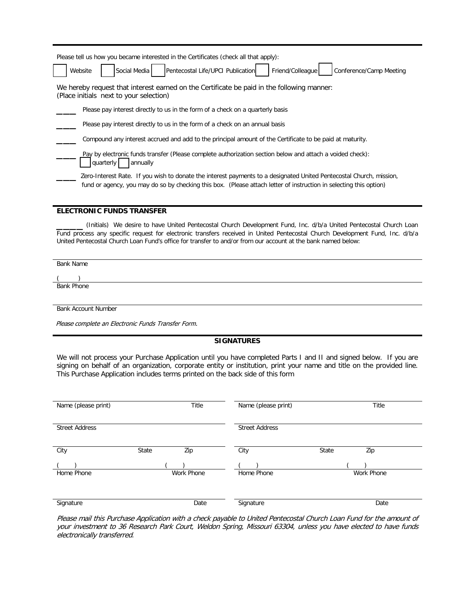| Please tell us how you became interested in the Certificates (check all that apply):                                                                                                                                                      |
|-------------------------------------------------------------------------------------------------------------------------------------------------------------------------------------------------------------------------------------------|
| Pentecostal Life/UPCI Publication<br>Social Media<br>Friend/Colleague<br>Conference/Camp Meeting<br>Website                                                                                                                               |
| We hereby request that interest earned on the Certificate be paid in the following manner:<br>(Place initials next to your selection)                                                                                                     |
| Please pay interest directly to us in the form of a check on a quarterly basis                                                                                                                                                            |
| Please pay interest directly to us in the form of a check on an annual basis                                                                                                                                                              |
| Compound any interest accrued and add to the principal amount of the Certificate to be paid at maturity.                                                                                                                                  |
| Pay by electronic funds transfer (Please complete authorization section below and attach a voided check):<br>quarterly<br>annually                                                                                                        |
| Zero-Interest Rate. If you wish to donate the interest payments to a designated United Pentecostal Church, mission,<br>fund or agency, you may do so by checking this box. (Please attach letter of instruction in selecting this option) |

#### **ELECTRONIC FUNDS TRANSFER**

\_\_\_\_ (Initials) We desire to have United Pentecostal Church Development Fund, Inc. d/b/a United Pentecostal Church Loan Fund process any specific request for electronic transfers received in United Pentecostal Church Development Fund, Inc. d/b/a United Pentecostal Church Loan Fund's office for transfer to and/or from our account at the bank named below:

Bank Name

 $($ Bank Phone

Bank Account Number

Please complete an Electronic Funds Transfer Form.

### **SIGNATURES**

We will not process your Purchase Application until you have completed Parts I and II and signed below. If you are signing on behalf of an organization, corporate entity or institution, print your name and title on the provided line. This Purchase Application includes terms printed on the back side of this form

| Name (please print)   |       | Title      | Name (please print)   |       | Title      |
|-----------------------|-------|------------|-----------------------|-------|------------|
| <b>Street Address</b> |       |            | <b>Street Address</b> |       |            |
| City                  | State | Zip        | City                  | State | Zip        |
| Home Phone            |       | Work Phone | Home Phone            |       | Work Phone |
| Signature             |       | Date       | Signature             |       | Date       |

Please mail this Purchase Application with a check payable to United Pentecostal Church Loan Fund for the amount of your investment to 36 Research Park Court, Weldon Spring, Missouri 63304, unless you have elected to have funds electronically transferred.